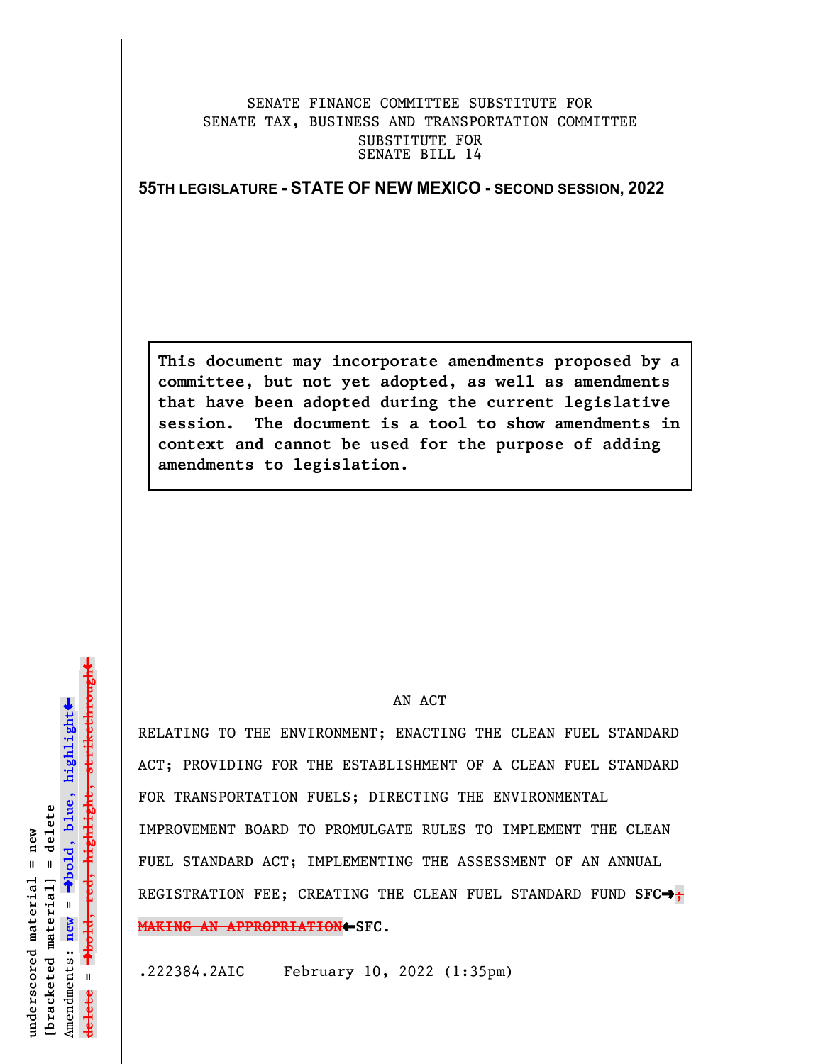## SENATE FINANCE COMMITTEE SUBSTITUTE FOR SENATE TAX, BUSINESS AND TRANSPORTATION COMMITTEE SUBSTITUTE FOR SENATE BILL 14

**55TH LEGISLATURE - STATE OF NEW MEXICO - SECOND SESSION, 2022**

**This document may incorporate amendments proposed by a committee, but not yet adopted, as well as amendments that have been adopted during the current legislative session. The document is a tool to show amendments in context and cannot be used for the purpose of adding amendments to legislation.**

## AN ACT

RELATING TO THE ENVIRONMENT; ENACTING THE CLEAN FUEL STANDARD ACT; PROVIDING FOR THE ESTABLISHMENT OF A CLEAN FUEL STANDARD FOR TRANSPORTATION FUELS; DIRECTING THE ENVIRONMENTAL IMPROVEMENT BOARD TO PROMULGATE RULES TO IMPLEMENT THE CLEAN FUEL STANDARD ACT; IMPLEMENTING THE ASSESSMENT OF AN ANNUAL REGISTRATION FEE; CREATING THE CLEAN FUEL STANDARD FUND SFC $\rightarrow$ **MAKING AN APPROPRIATION**»**SFC**.

.222384.2AIC February 10, 2022 (1:35pm)

» $\rightarrow$ bold, red, highlight, strikethrough º**bold, red, highlight, strikethrough**  $\ddot{\bullet}$ º**bold, blue, highlight**  $[$ bracketed material] = delete **[bracketed material] = delete** inderscored material = new **underscored material = new** Amendments: **new** =  $\mathbf{u}$ **delete =** lelete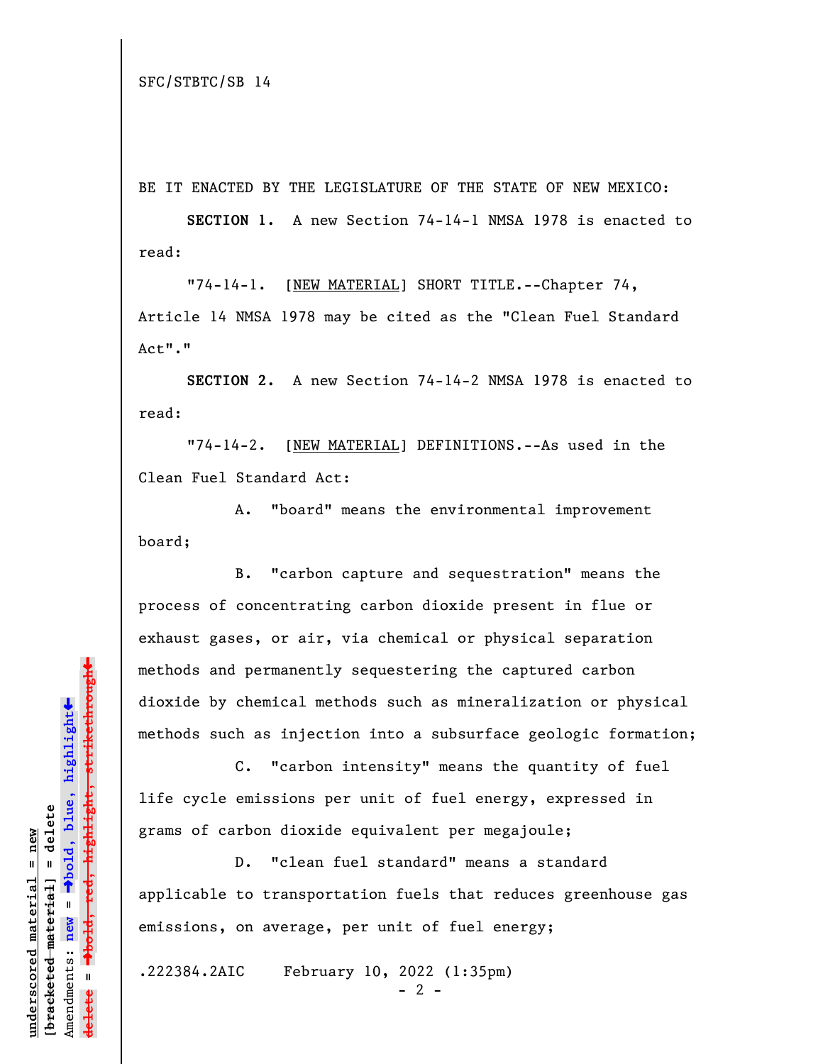BE IT ENACTED BY THE LEGISLATURE OF THE STATE OF NEW MEXICO:

**SECTION 1.** A new Section 74-14-1 NMSA 1978 is enacted to read:

"74-14-1. [NEW MATERIAL] SHORT TITLE.--Chapter 74, Article 14 NMSA 1978 may be cited as the "Clean Fuel Standard Act"."

**SECTION 2.** A new Section 74-14-2 NMSA 1978 is enacted to read:

"74-14-2. [NEW MATERIAL] DEFINITIONS.--As used in the Clean Fuel Standard Act:

A. "board" means the environmental improvement board;

B. "carbon capture and sequestration" means the process of concentrating carbon dioxide present in flue or exhaust gases, or air, via chemical or physical separation methods and permanently sequestering the captured carbon dioxide by chemical methods such as mineralization or physical methods such as injection into a subsurface geologic formation;

C. "carbon intensity" means the quantity of fuel life cycle emissions per unit of fuel energy, expressed in grams of carbon dioxide equivalent per megajoule;

D. "clean fuel standard" means a standard applicable to transportation fuels that reduces greenhouse gas emissions, on average, per unit of fuel energy;

.222384.2AIC February 10, 2022 (1:35pm)

 $- 2 -$ 

 $\ddag$ º**bold, red, highlight, strikethrough**  $\ddot{\bullet}$ º**bold, blue, highlight**  $b$ racketed material] = delete **[bracketed material] = delete** inderscored material = new **underscored material = new**  $\mathbf{I}$ Amendments: **new** = Amendments: new  $\mathbf{I}$ **delete = lelete**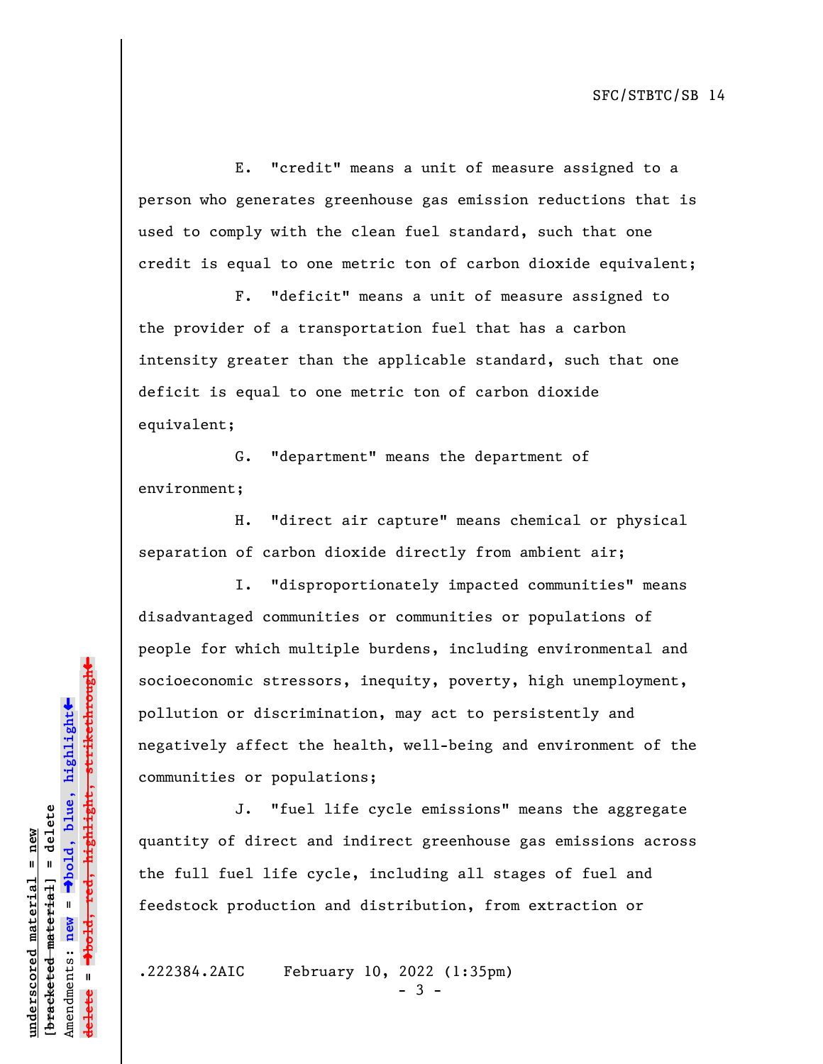E. "credit" means a unit of measure assigned to a person who generates greenhouse gas emission reductions that is used to comply with the clean fuel standard, such that one credit is equal to one metric ton of carbon dioxide equivalent;

F. "deficit" means a unit of measure assigned to the provider of a transportation fuel that has a carbon intensity greater than the applicable standard, such that one deficit is equal to one metric ton of carbon dioxide equivalent;

G. "department" means the department of environment;

H. "direct air capture" means chemical or physical separation of carbon dioxide directly from ambient air;

I. "disproportionately impacted communities" means disadvantaged communities or communities or populations of people for which multiple burdens, including environmental and socioeconomic stressors, inequity, poverty, high unemployment, pollution or discrimination, may act to persistently and negatively affect the health, well-being and environment of the communities or populations;

J. "fuel life cycle emissions" means the aggregate quantity of direct and indirect greenhouse gas emissions across the full fuel life cycle, including all stages of fuel and feedstock production and distribution, from extraction or

.222384.2AIC February 10, 2022 (1:35pm)

- 3 -

»red<del>, highlight, strikethrough</del> º**bold, red, highlight, strikethrough**  $\ddot{\bullet}$ º**bold, blue, highlight** bracketed material] = delete **[bracketed material] = delete** inderscored material = new **underscored material = new** Amendments: **new** =  $\mathbf{u}$ Amendments: new **delete =**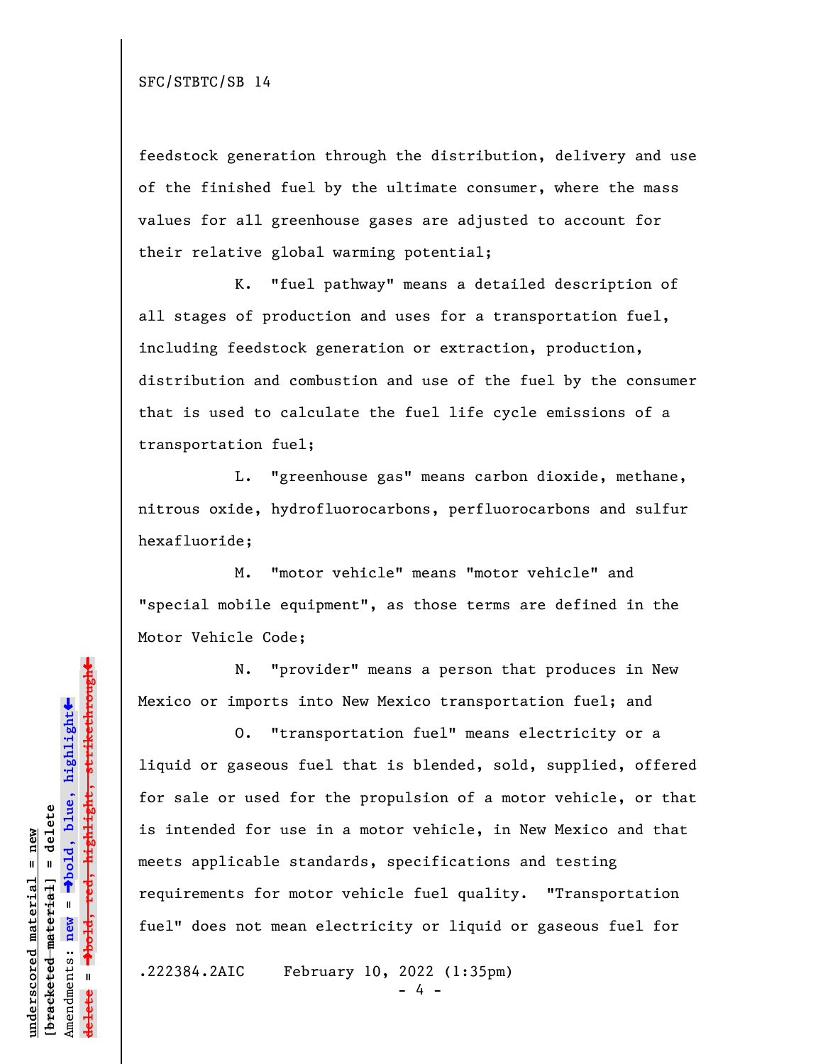feedstock generation through the distribution, delivery and use of the finished fuel by the ultimate consumer, where the mass values for all greenhouse gases are adjusted to account for their relative global warming potential;

K. "fuel pathway" means a detailed description of all stages of production and uses for a transportation fuel, including feedstock generation or extraction, production, distribution and combustion and use of the fuel by the consumer that is used to calculate the fuel life cycle emissions of a transportation fuel;

L. "greenhouse gas" means carbon dioxide, methane, nitrous oxide, hydrofluorocarbons, perfluorocarbons and sulfur hexafluoride;

 M. "motor vehicle" means "motor vehicle" and "special mobile equipment", as those terms are defined in the Motor Vehicle Code;

N. "provider" means a person that produces in New Mexico or imports into New Mexico transportation fuel; and

O. "transportation fuel" means electricity or a liquid or gaseous fuel that is blended, sold, supplied, offered for sale or used for the propulsion of a motor vehicle, or that is intended for use in a motor vehicle, in New Mexico and that meets applicable standards, specifications and testing requirements for motor vehicle fuel quality. "Transportation fuel" does not mean electricity or liquid or gaseous fuel for

.222384.2AIC February 10, 2022 (1:35pm)

- 4 -

 $\ddag$ º**bold, red, highlight, strikethrough**  $\ddot{\bullet}$ º**bold, blue, highlight**  $b$ racketed material] = delete **[bracketed material] = delete** inderscored material = new **underscored material = new** Amendments: **new** =  $\mathbf{u}$ Amendments: new **delete =**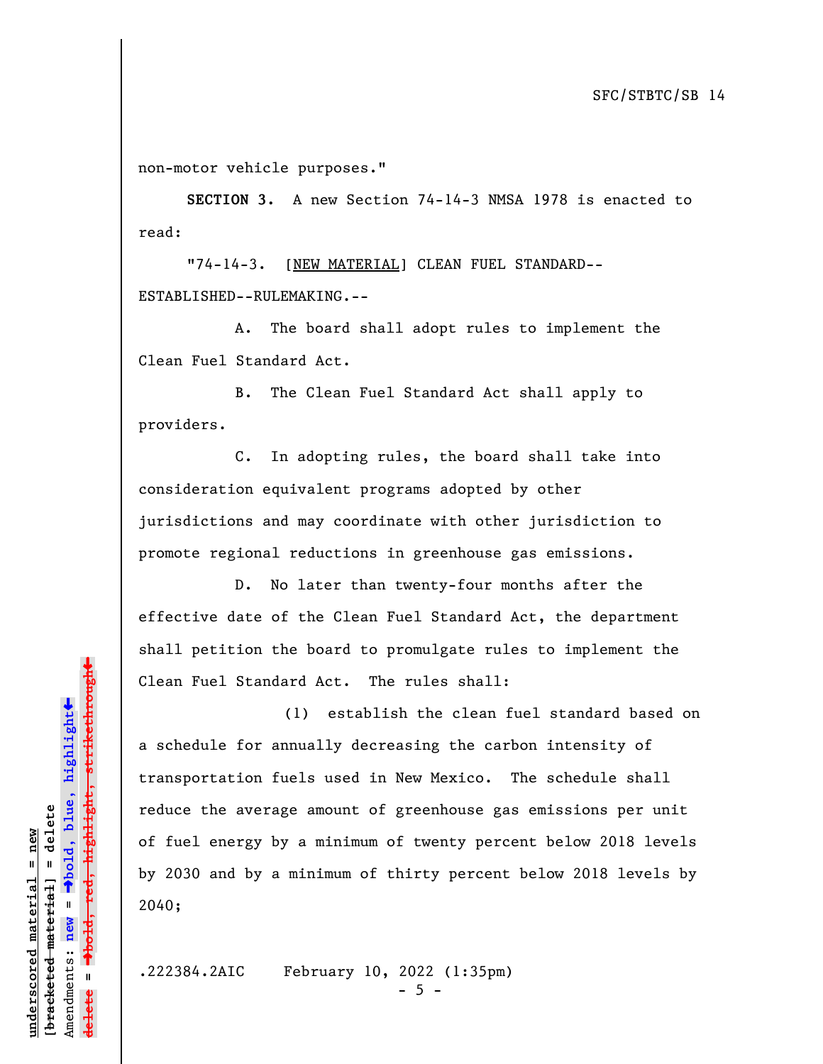non-motor vehicle purposes."

**SECTION 3.** A new Section 74-14-3 NMSA 1978 is enacted to read:

"74-14-3. [NEW MATERIAL] CLEAN FUEL STANDARD-- ESTABLISHED--RULEMAKING.--

A. The board shall adopt rules to implement the Clean Fuel Standard Act.

B. The Clean Fuel Standard Act shall apply to providers.

C. In adopting rules, the board shall take into consideration equivalent programs adopted by other jurisdictions and may coordinate with other jurisdiction to promote regional reductions in greenhouse gas emissions.

D. No later than twenty-four months after the effective date of the Clean Fuel Standard Act, the department shall petition the board to promulgate rules to implement the Clean Fuel Standard Act. The rules shall:

(1) establish the clean fuel standard based on a schedule for annually decreasing the carbon intensity of transportation fuels used in New Mexico. The schedule shall reduce the average amount of greenhouse gas emissions per unit of fuel energy by a minimum of twenty percent below 2018 levels by 2030 and by a minimum of thirty percent below 2018 levels by 2040;

.222384.2AIC February 10, 2022 (1:35pm)

 $\ddag$ º**bold, red, highlight, strikethrough**  $\ddot{\bullet}$ º**bold, blue, highlight** bracketed material] = delete **[bracketed material] = delete** inderscored material = new **underscored material = new** Amendments: **new** =  $\mathbf{u}$ Amendments: new **delete =**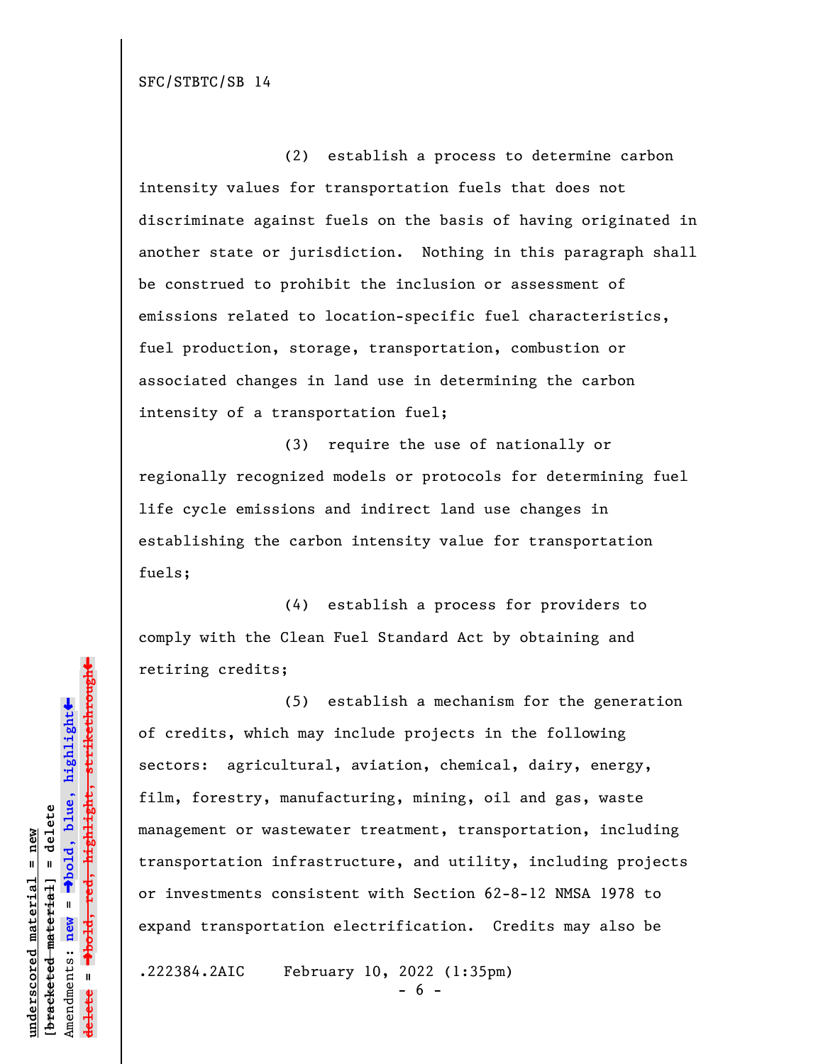(2) establish a process to determine carbon intensity values for transportation fuels that does not discriminate against fuels on the basis of having originated in another state or jurisdiction. Nothing in this paragraph shall be construed to prohibit the inclusion or assessment of emissions related to location-specific fuel characteristics, fuel production, storage, transportation, combustion or associated changes in land use in determining the carbon intensity of a transportation fuel;

(3) require the use of nationally or regionally recognized models or protocols for determining fuel life cycle emissions and indirect land use changes in establishing the carbon intensity value for transportation fuels;

(4) establish a process for providers to comply with the Clean Fuel Standard Act by obtaining and retiring credits;

(5) establish a mechanism for the generation of credits, which may include projects in the following sectors: agricultural, aviation, chemical, dairy, energy, film, forestry, manufacturing, mining, oil and gas, waste management or wastewater treatment, transportation, including transportation infrastructure, and utility, including projects or investments consistent with Section 62-8-12 NMSA 1978 to expand transportation electrification. Credits may also be

.222384.2AIC February 10, 2022 (1:35pm)

- 6 -

»-bold, red, highlight, strikethrough º**bold, red, highlight, strikethrough**  $\ddot{\bullet}$ º**bold, blue, highlight**  $b$ racketed material] = delete **[bracketed material] = delete** inderscored material = new **underscored material = new** Amendments: **new** =  $\mathbf{u}$ Amendments: new  $\mathbf{u}$ **delete =**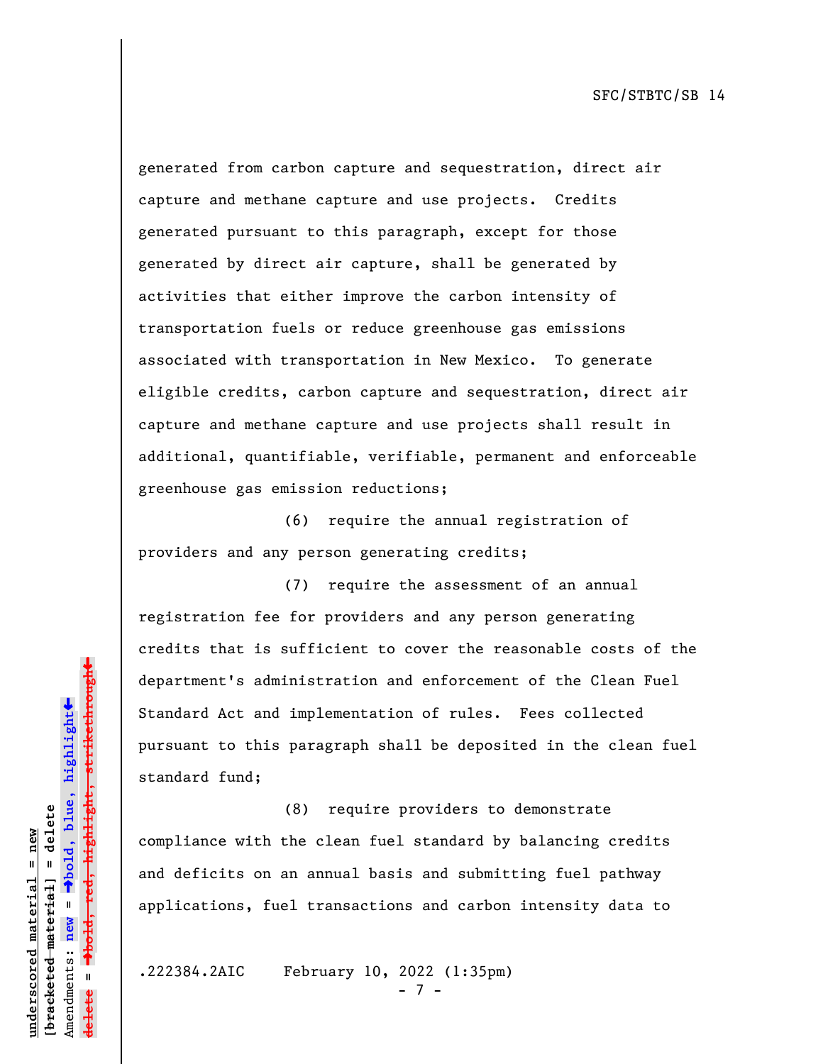generated from carbon capture and sequestration, direct air capture and methane capture and use projects. Credits generated pursuant to this paragraph, except for those generated by direct air capture, shall be generated by activities that either improve the carbon intensity of transportation fuels or reduce greenhouse gas emissions associated with transportation in New Mexico. To generate eligible credits, carbon capture and sequestration, direct air capture and methane capture and use projects shall result in additional, quantifiable, verifiable, permanent and enforceable greenhouse gas emission reductions;

(6) require the annual registration of providers and any person generating credits;

(7) require the assessment of an annual registration fee for providers and any person generating credits that is sufficient to cover the reasonable costs of the department's administration and enforcement of the Clean Fuel Standard Act and implementation of rules. Fees collected pursuant to this paragraph shall be deposited in the clean fuel standard fund;

(8) require providers to demonstrate compliance with the clean fuel standard by balancing credits and deficits on an annual basis and submitting fuel pathway applications, fuel transactions and carbon intensity data to

.222384.2AIC February 10, 2022 (1:35pm)

- 7 -

»º**bold, red, highlight, strikethrough** red<del>, highlight, strikethrough</del>  $\ddot{\bullet}$ º**bold, blue, highlight** bracketed material] = delete **[bracketed material] = delete** inderscored material = new **underscored material = new** Amendments: **new** =  $\mathbf{u}$ Amendments: new **delete =**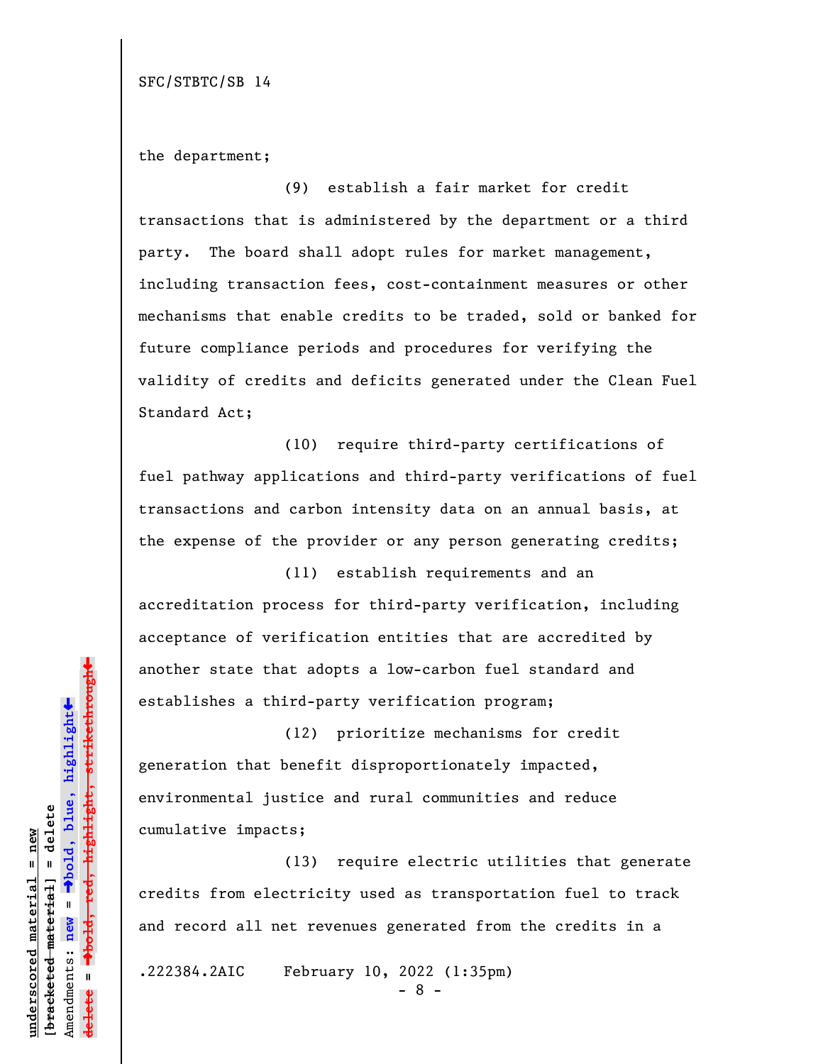the department;

(9) establish a fair market for credit transactions that is administered by the department or a third party. The board shall adopt rules for market management, including transaction fees, cost-containment measures or other mechanisms that enable credits to be traded, sold or banked for future compliance periods and procedures for verifying the validity of credits and deficits generated under the Clean Fuel Standard Act;

(10) require third-party certifications of fuel pathway applications and third-party verifications of fuel transactions and carbon intensity data on an annual basis, at the expense of the provider or any person generating credits;

(11) establish requirements and an accreditation process for third-party verification, including acceptance of verification entities that are accredited by another state that adopts a low-carbon fuel standard and establishes a third-party verification program;

(12) prioritize mechanisms for credit generation that benefit disproportionately impacted, environmental justice and rural communities and reduce cumulative impacts;

(13) require electric utilities that generate credits from electricity used as transportation fuel to track and record all net revenues generated from the credits in a

.222384.2AIC February 10, 2022 (1:35pm)

- 8 -

 $\ddag$ º**bold, red, highlight, strikethrough**  $\ddot{\bullet}$ º**bold, blue, highlight**  $b$ racketed material] = delete **[bracketed material] = delete** inderscored material = new **underscored material = new** Amendments: **new** =  $\mathbf{I}$  $\frac{1}{2}$ Amendments: new  $\mathbf{I}$ **delete = lelete**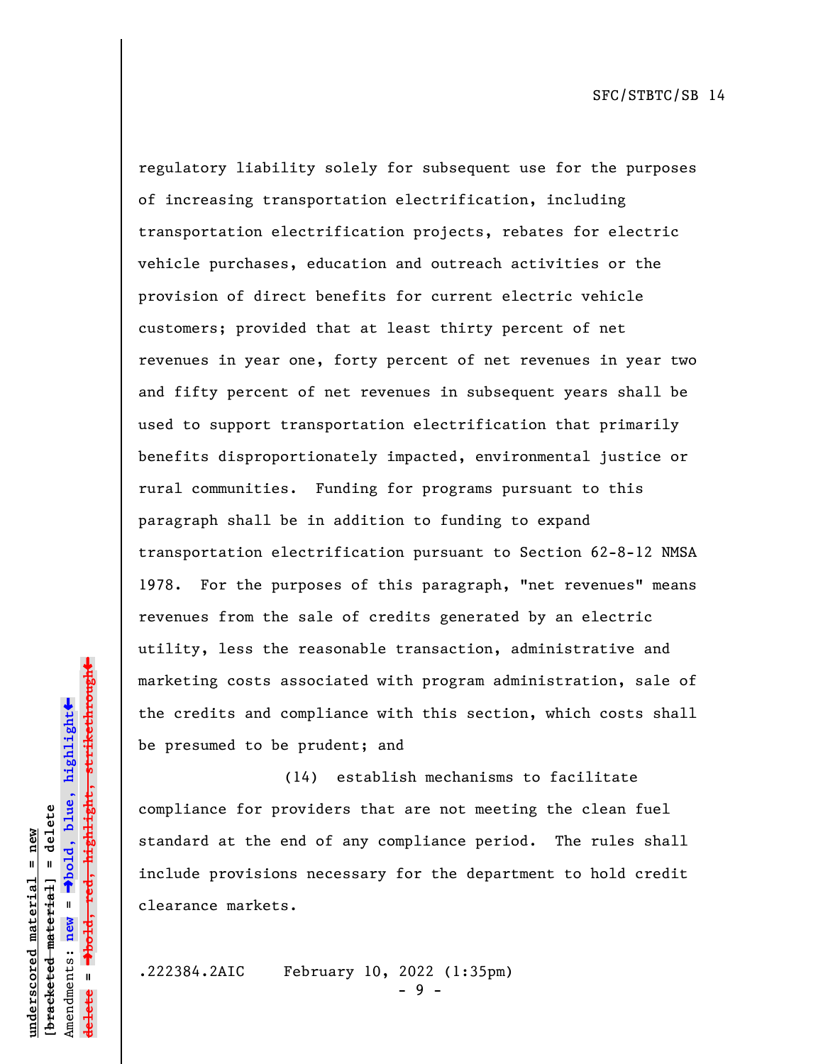regulatory liability solely for subsequent use for the purposes of increasing transportation electrification, including transportation electrification projects, rebates for electric vehicle purchases, education and outreach activities or the provision of direct benefits for current electric vehicle customers; provided that at least thirty percent of net revenues in year one, forty percent of net revenues in year two and fifty percent of net revenues in subsequent years shall be used to support transportation electrification that primarily benefits disproportionately impacted, environmental justice or rural communities. Funding for programs pursuant to this paragraph shall be in addition to funding to expand transportation electrification pursuant to Section 62-8-12 NMSA 1978. For the purposes of this paragraph, "net revenues" means revenues from the sale of credits generated by an electric utility, less the reasonable transaction, administrative and marketing costs associated with program administration, sale of the credits and compliance with this section, which costs shall be presumed to be prudent; and

(14) establish mechanisms to facilitate compliance for providers that are not meeting the clean fuel standard at the end of any compliance period. The rules shall include provisions necessary for the department to hold credit clearance markets.

.222384.2AIC February 10, 2022 (1:35pm)

- 9 -

» $\rightarrow$ bold, red, highlight, strikethrough º**bold, red, highlight, strikethrough**  $\ddot{\bullet}$ º**bold, blue, highlight**  $b$ racketed material] = delete **[bracketed material] = delete** inderscored material = new **underscored material = new** Amendments: new = Amendments: **new** = **delete =**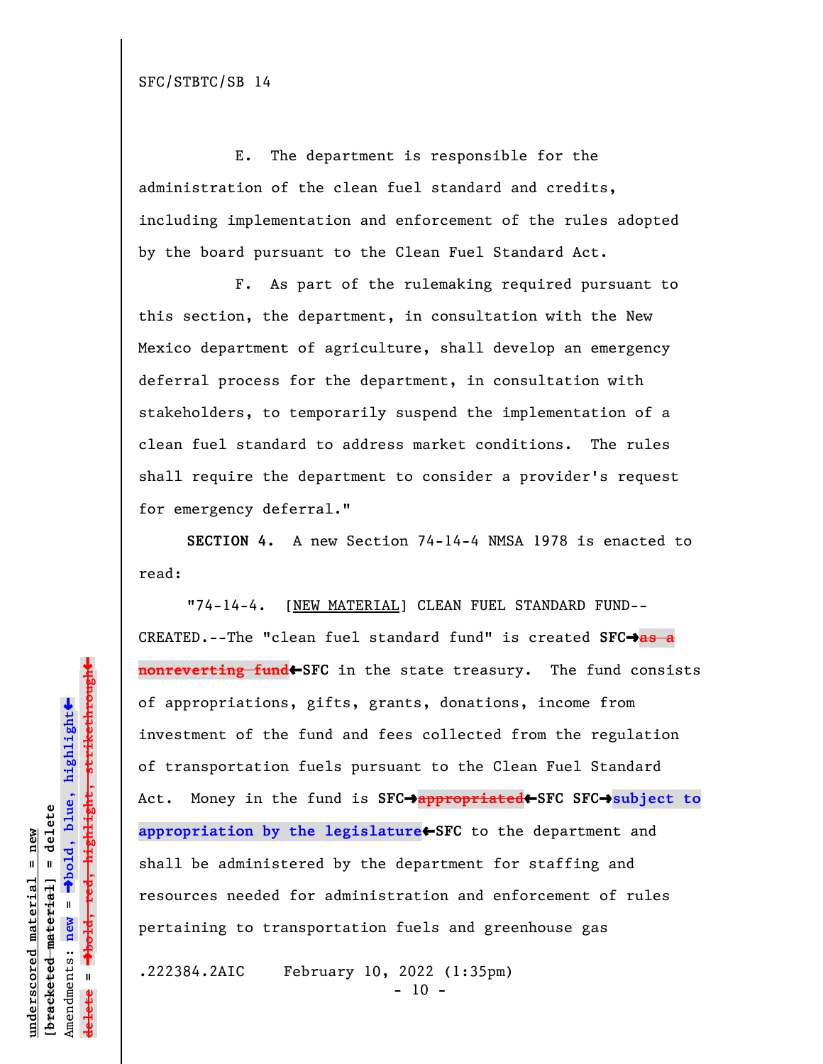E. The department is responsible for the administration of the clean fuel standard and credits, including implementation and enforcement of the rules adopted by the board pursuant to the Clean Fuel Standard Act.

F. As part of the rulemaking required pursuant to this section, the department, in consultation with the New Mexico department of agriculture, shall develop an emergency deferral process for the department, in consultation with stakeholders, to temporarily suspend the implementation of a clean fuel standard to address market conditions. The rules shall require the department to consider a provider's request for emergency deferral."

**SECTION 4.** A new Section 74-14-4 NMSA 1978 is enacted to read:

"74-14-4. [NEW MATERIAL] CLEAN FUEL STANDARD FUND-- CREATED.--The "clean fuel standard fund" is created **SFC**º**as a nonreverting fund**•SFC in the state treasury. The fund consists of appropriations, gifts, grants, donations, income from investment of the fund and fees collected from the regulation of transportation fuels pursuant to the Clean Fuel Standard Act. Money in the fund is **SFC**º**appropriated**»**SFC SFC**º**subject to** appropriation by the legislature<sup>+</sup>SFC to the department and shall be administered by the department for staffing and resources needed for administration and enforcement of rules pertaining to transportation fuels and greenhouse gas

.222384.2AIC February 10, 2022 (1:35pm)

 $-10 -$ 

 $\ddag$ º**bold, red, highlight, strikethrough**  $\ddot{\bullet}$ º**bold, blue, highlight**  $b$ racketed material] = delete **[bracketed material] = delete** inderscored material = new **underscored material = new** Amendments: **new** =  $\mathbf{I}$ Amendments: new  $\mathbf{u}$ **delete =** <del>ielete</del>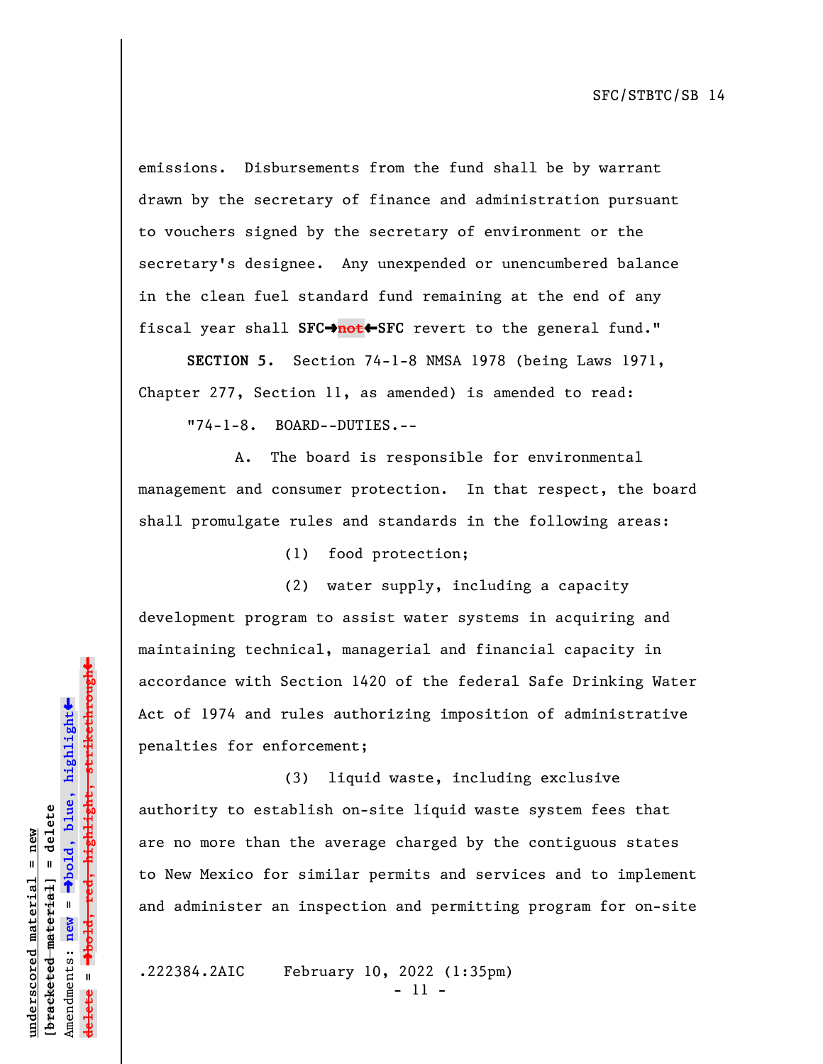emissions. Disbursements from the fund shall be by warrant drawn by the secretary of finance and administration pursuant to vouchers signed by the secretary of environment or the secretary's designee. Any unexpended or unencumbered balance in the clean fuel standard fund remaining at the end of any fiscal year shall SFC $\rightarrow$ not $\leftarrow$ SFC revert to the general fund."

**SECTION 5.** Section 74-1-8 NMSA 1978 (being Laws 1971, Chapter 277, Section 11, as amended) is amended to read:

"74-1-8. BOARD--DUTIES.--

A. The board is responsible for environmental management and consumer protection. In that respect, the board shall promulgate rules and standards in the following areas:

(1) food protection;

(2) water supply, including a capacity development program to assist water systems in acquiring and maintaining technical, managerial and financial capacity in accordance with Section 1420 of the federal Safe Drinking Water Act of 1974 and rules authorizing imposition of administrative penalties for enforcement;

(3) liquid waste, including exclusive authority to establish on-site liquid waste system fees that are no more than the average charged by the contiguous states to New Mexico for similar permits and services and to implement and administer an inspection and permitting program for on-site

.222384.2AIC February 10, 2022 (1:35pm)

- 11 -

»red<del>, highlight, strikethrough</del> º**bold, red, highlight, strikethrough**  $\ddot{\bullet}$ º**bold, blue, highlight** bracketed material] = delete **[bracketed material] = delete** inderscored material = new **underscored material = new** Amendments: **new** =  $\mathbf{I}$ Amendments: new **delete =**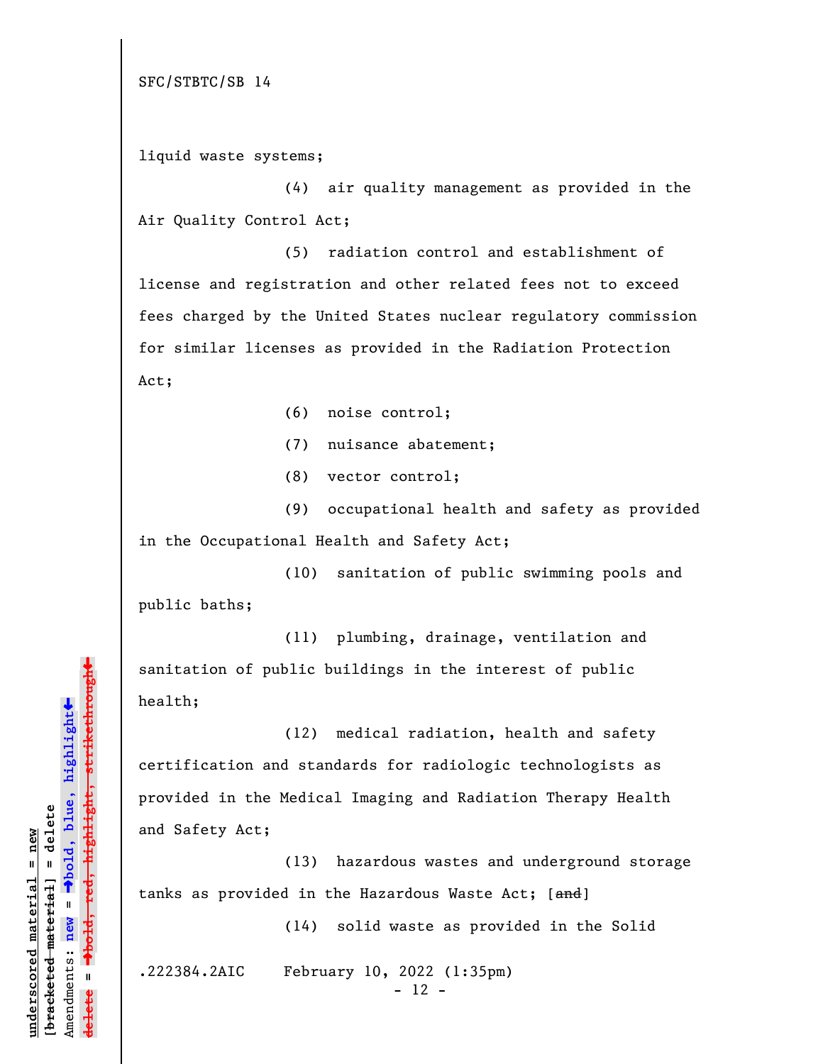SFC/STBTC/SB 14

liquid waste systems;

(4) air quality management as provided in the Air Quality Control Act;

(5) radiation control and establishment of license and registration and other related fees not to exceed fees charged by the United States nuclear regulatory commission for similar licenses as provided in the Radiation Protection Act;

(6) noise control;

(7) nuisance abatement;

(8) vector control;

(9) occupational health and safety as provided in the Occupational Health and Safety Act;

(10) sanitation of public swimming pools and public baths;

(11) plumbing, drainage, ventilation and sanitation of public buildings in the interest of public health;

(12) medical radiation, health and safety certification and standards for radiologic technologists as provided in the Medical Imaging and Radiation Therapy Health and Safety Act;

(13) hazardous wastes and underground storage tanks as provided in the Hazardous Waste Act; [and]

(14) solid waste as provided in the Solid

.222384.2AIC February 10, 2022 (1:35pm)

- 12 -

º**bold, red, highlight, strikethrough** <del>highlight, strikethrou</del>  $\ddot{\bullet}$ º**bold, blue, highlight**  $b$ racketed material] = delete **[bracketed material] = delete** inderscored material = new **underscored material = new** Amendments: **new** =  $\mathbf{I}$ Amendments: new  $\mathbf{u}$ **delete =**

»